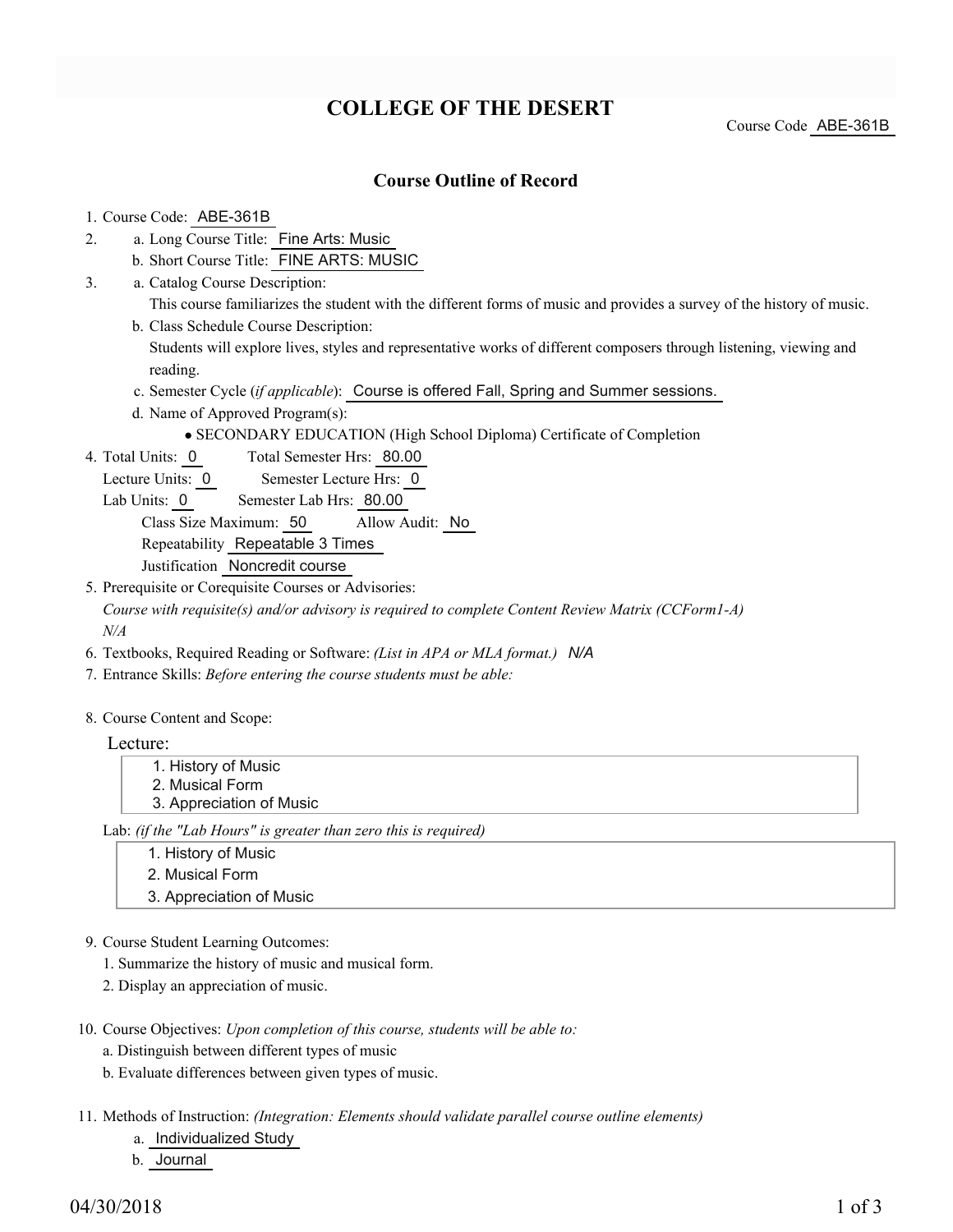# **COLLEGE OF THE DESERT**

Course Code ABE-361B

### **Course Outline of Record**

#### 1. Course Code: ABE-361B

- a. Long Course Title: Fine Arts: Music 2.
	- b. Short Course Title: FINE ARTS: MUSIC
- Catalog Course Description: a. 3.
	- This course familiarizes the student with the different forms of music and provides a survey of the history of music. b. Class Schedule Course Description:
	- Students will explore lives, styles and representative works of different composers through listening, viewing and reading.
	- c. Semester Cycle (*if applicable*): Course is offered Fall, Spring and Summer sessions.
	- d. Name of Approved Program(s):
		- SECONDARY EDUCATION (High School Diploma) Certificate of Completion
- Total Semester Hrs: 80.00 4. Total Units: 0
	- Lecture Units: 0 Semester Lecture Hrs: 0
	- Lab Units: 0 Semester Lab Hrs: 80.00

Class Size Maximum: 50 Allow Audit: No

Repeatability Repeatable 3 Times

- Justification Noncredit course
- 5. Prerequisite or Corequisite Courses or Advisories:
- *Course with requisite(s) and/or advisory is required to complete Content Review Matrix (CCForm1-A) N/A*
- 6. Textbooks, Required Reading or Software: *(List in APA or MLA format.) N/A*
- 7. Entrance Skills: *Before entering the course students must be able:*
- 8. Course Content and Scope:

Lecture:

1. History of Music 2. Musical Form 3. Appreciation of Music

Lab: *(if the "Lab Hours" is greater than zero this is required)*

- 1. History of Music
- 2. Musical Form
- 3. Appreciation of Music
- 9. Course Student Learning Outcomes:
	- 1. Summarize the history of music and musical form.
	- 2. Display an appreciation of music.
- 10. Course Objectives: Upon completion of this course, students will be able to:
	- a. Distinguish between different types of music
	- b. Evaluate differences between given types of music.
- 11. Methods of Instruction: *(Integration: Elements should validate parallel course outline elements)* 
	- a. Individualized Study
	- b. Journal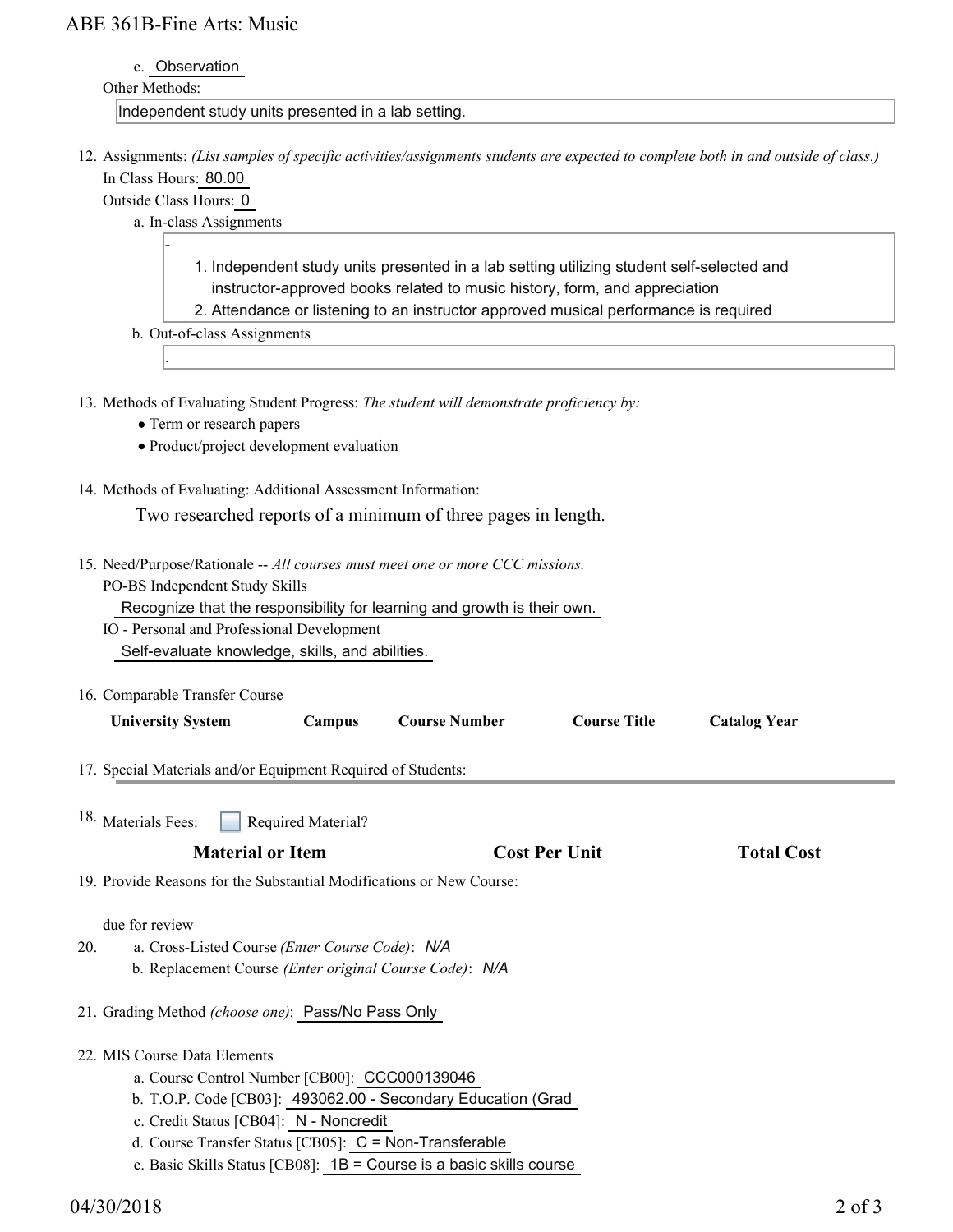# ABE 361B-Fine Arts: Music

| $c_{-}$ | Observation |
|---------|-------------|
|         |             |

### Other Methods:

Independent study units presented in a lab setting.

12. Assignments: (List samples of specific activities/assignments students are expected to complete both in and outside of class.) In Class Hours: 80.00

Outside Class Hours: 0

-

.

- a. In-class Assignments
	- 1. Independent study units presented in a lab setting utilizing student self-selected and instructor-approved books related to music history, form, and appreciation
	- 2. Attendance or listening to an instructor approved musical performance is required
- b. Out-of-class Assignments

13. Methods of Evaluating Student Progress: The student will demonstrate proficiency by:

- Term or research papers
- Product/project development evaluation
- 14. Methods of Evaluating: Additional Assessment Information:

Two researched reports of a minimum of three pages in length.

- 15. Need/Purpose/Rationale -- All courses must meet one or more CCC missions.
	- PO-BS Independent Study Skills Recognize that the responsibility for learning and growth is their own.
	- IO Personal and Professional Development Self-evaluate knowledge, skills, and abilities.
- 16. Comparable Transfer Course

| 10. Comparable Transfer Course                                                                                                      |                    |                                                              |                     |                     |  |
|-------------------------------------------------------------------------------------------------------------------------------------|--------------------|--------------------------------------------------------------|---------------------|---------------------|--|
| <b>University System</b>                                                                                                            | Campus             | <b>Course Number</b>                                         | <b>Course Title</b> | <b>Catalog Year</b> |  |
| 17. Special Materials and/or Equipment Required of Students:                                                                        |                    |                                                              |                     |                     |  |
| <sup>18.</sup> Materials Fees:                                                                                                      | Required Material? |                                                              |                     |                     |  |
| <b>Material or Item</b>                                                                                                             |                    | <b>Cost Per Unit</b>                                         | <b>Total Cost</b>   |                     |  |
| 19. Provide Reasons for the Substantial Modifications or New Course:                                                                |                    |                                                              |                     |                     |  |
| due for review<br>20.<br>a. Cross-Listed Course (Enter Course Code): N/A<br>b. Replacement Course (Enter original Course Code): N/A |                    |                                                              |                     |                     |  |
| 21. Grading Method (choose one): Pass/No Pass Only                                                                                  |                    |                                                              |                     |                     |  |
| 22. MIS Course Data Elements<br>a. Course Control Number [CB00]: CCC000139046                                                       |                    | b. T.O.P. Code [CB03]: 493062.00 - Secondary Education (Grad |                     |                     |  |
|                                                                                                                                     |                    |                                                              |                     |                     |  |

- c. Credit Status [CB04]: N Noncredit
- d. Course Transfer Status [CB05]: C = Non-Transferable
- e. Basic Skills Status [CB08]: 1B = Course is a basic skills course